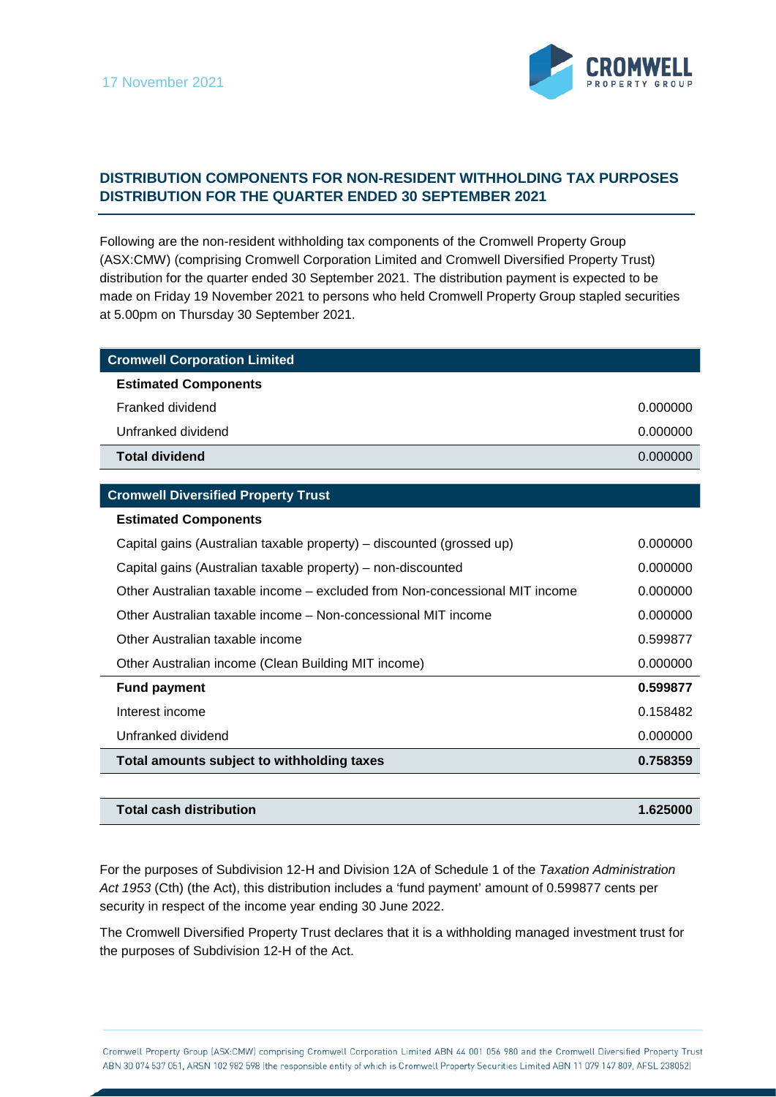

## **DISTRIBUTION COMPONENTS FOR NON-RESIDENT WITHHOLDING TAX PURPOSES DISTRIBUTION FOR THE QUARTER ENDED 30 SEPTEMBER 2021**

Following are the non-resident withholding tax components of the Cromwell Property Group (ASX:CMW) (comprising Cromwell Corporation Limited and Cromwell Diversified Property Trust) distribution for the quarter ended 30 September 2021. The distribution payment is expected to be made on Friday 19 November 2021 to persons who held Cromwell Property Group stapled securities at 5.00pm on Thursday 30 September 2021.

| <b>Cromwell Corporation Limited</b> |          |
|-------------------------------------|----------|
| <b>Estimated Components</b>         |          |
| Franked dividend                    | 0.000000 |
| Unfranked dividend                  | 0.000000 |
| <b>Total dividend</b>               | 0.000000 |

## **Cromwell Diversified Property Trust**

| <b>Estimated Components</b>                                                 |          |
|-----------------------------------------------------------------------------|----------|
| Capital gains (Australian taxable property) – discounted (grossed up)       | 0.000000 |
| Capital gains (Australian taxable property) – non-discounted                | 0.000000 |
| Other Australian taxable income – excluded from Non-concessional MIT income | 0.000000 |
| Other Australian taxable income – Non-concessional MIT income               | 0.000000 |
| Other Australian taxable income                                             | 0.599877 |
| Other Australian income (Clean Building MIT income)                         | 0.000000 |
| <b>Fund payment</b>                                                         | 0.599877 |
| Interest income                                                             | 0.158482 |
| Unfranked dividend                                                          | 0.000000 |
| Total amounts subject to withholding taxes                                  | 0.758359 |
|                                                                             |          |

| Total cash distribution | $-625000$ |
|-------------------------|-----------|
|                         |           |

For the purposes of Subdivision 12-H and Division 12A of Schedule 1 of the *Taxation Administration Act 1953* (Cth) (the Act), this distribution includes a 'fund payment' amount of 0.599877 cents per security in respect of the income year ending 30 June 2022.

The Cromwell Diversified Property Trust declares that it is a withholding managed investment trust for the purposes of Subdivision 12-H of the Act.

Cromwell Property Group (ASX:CMW) comprising Cromwell Corporation Limited ABN 44 001 056 980 and the Cromwell Diversified Property Trust ABN 30 074 537 051, ARSN 102 982 598 (the responsible entity of which is Cromwell Property Securities Limited ABN 11 079 147 809, AFSL 238052)